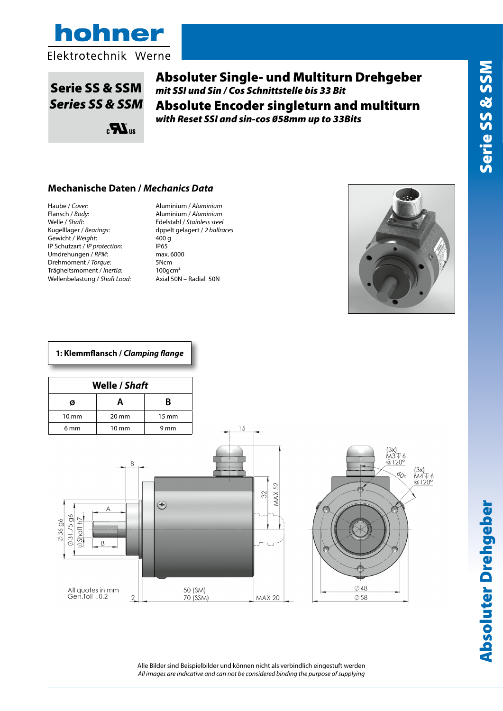

# Serie SS & SSM *Series SS & SSM*

Absoluter Single- und Multiturn Drehgeber *mit SSI und Sin / Cos Schnittstelle bis 33 Bit* Absolute Encoder singleturn and multiturn *with Reset SSI and sin-cos 58mm up to 33Bits*

#### **Mechanische Daten /** *Mechanics Data*

 $\mathbf{R}^{\text{us}}$ 

Haube / *Cover*: Aluminium / *Aluminium* Welle / *Shaft*: Edelstahl / *Stainless steel* Gewicht / *Weight*: 400 g<br>
IP Schutzart / *IP protection*: 1P65 IP Schutzart / *IP protection*: IP65<br>Umdrehungen / *RPM*: max. 6000 Umdrehungen / RPM: Drehmoment / *Torque*: 5Ncm Trägheitsmoment / *Inertia*: 100gcm² Wellenbelastung / *Shaft Load*: Axial 50N – Radial 50N

Flansch / *Body*: Aluminium / *Aluminium* Kugelllager / *Bearings*: dppelt gelagert / *2 ballraces*



#### **1: Klemmflansch /** *Clamping flange*

| Welle / Shaft   |                 |                 |  |  |
|-----------------|-----------------|-----------------|--|--|
| Ø               | А               | B               |  |  |
| $10 \text{ mm}$ | $20 \text{ mm}$ | $15 \text{ mm}$ |  |  |
| 6 <sub>mm</sub> | $10 \text{ mm}$ | 9 mm            |  |  |





Alle Bilder sind Beispielbilder und können nicht als verbindlich eingestuft werden *All images are indicative and can not be considered binding the purpose of supplying*

 $15$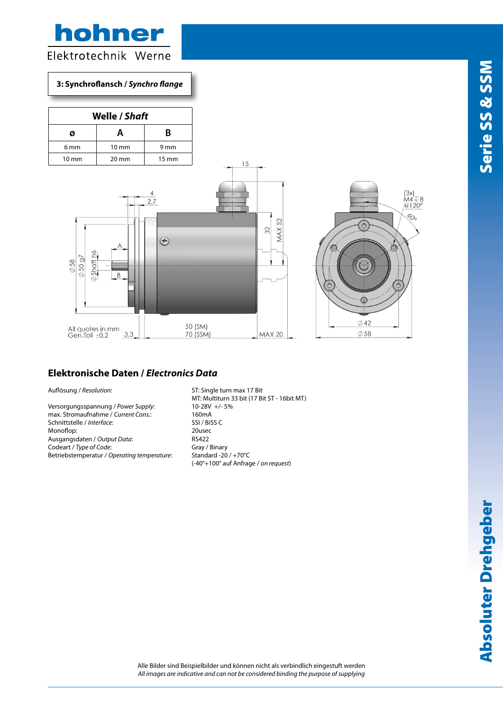## hohner Elektrotechnik Werne

#### **3: Synchroflansch /** *Synchro flange*

| <b>Welle / Shaft</b> |                 |                 |  |  |
|----------------------|-----------------|-----------------|--|--|
| Ø                    | Α               | B               |  |  |
| 6 <sub>mm</sub>      | $10 \text{ mm}$ | 9 mm            |  |  |
| $10 \text{ mm}$      | $20 \text{ mm}$ | $15 \text{ mm}$ |  |  |





#### **Elektronische Daten /** *Electronics Data*

Versorgungsspannung / *Power Supply*: 10-28V<br>max. Stromaufnahme / *Current Cons.*: 160mA max. Stromaufnahme / *Current Cons.*: 160mA<br>Schnittstelle / *Interface*: 5SI / BiSS C Schnittstelle / *Interface*: Monoflop: 20usec<br>Ausgangsdaten / Output Data: 20usec Ausgangsdaten / Output Data: Codeart / *Type of Code*: Gray / Binary<br>
Betriebstemperatur / *Operating temperature*: Standard -20 / +70°C Betriebstemperatur / Operating temperature:

Auflösung / *Resolution*: ST: Single turn max 17 Bit MT: Multiturn 33 bit (17 Bit ST - 16bit MT) (-40°+100° auf Anfrage / *on request*)